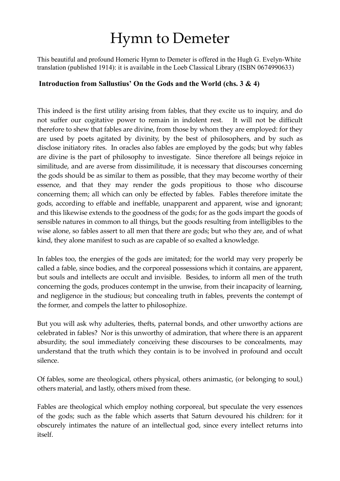## Hymn to Demeter

This beautiful and profound Homeric Hymn to Demeter is offered in the Hugh G. Evelyn-White translation (published 1914): it is available in the Loeb Classical Library (ISBN 0674990633)

## **Introduction from Sallustius' On the Gods and the World (chs. 3 & 4)**

This indeed is the first utility arising from fables, that they excite us to inquiry, and do not suffer our cogitative power to remain in indolent rest. It will not be difficult therefore to shew that fables are divine, from those by whom they are employed: for they are used by poets agitated by divinity, by the best of philosophers, and by such as disclose initiatory rites. In oracles also fables are employed by the gods; but why fables are divine is the part of philosophy to investigate. Since therefore all beings rejoice in similitude, and are averse from dissimilitude, it is necessary that discourses concerning the gods should be as similar to them as possible, that they may become worthy of their essence, and that they may render the gods propitious to those who discourse concerning them; all which can only be effected by fables. Fables therefore imitate the gods, according to effable and ineffable, unapparent and apparent, wise and ignorant; and this likewise extends to the goodness of the gods; for as the gods impart the goods of sensible natures in common to all things, but the goods resulting from intelligibles to the wise alone, so fables assert to all men that there are gods; but who they are, and of what kind, they alone manifest to such as are capable of so exalted a knowledge.

In fables too, the energies of the gods are imitated; for the world may very properly be called a fable, since bodies, and the corporeal possessions which it contains, are apparent, but souls and intellects are occult and invisible. Besides, to inform all men of the truth concerning the gods, produces contempt in the unwise, from their incapacity of learning, and negligence in the studious; but concealing truth in fables, prevents the contempt of the former, and compels the latter to philosophize.

But you will ask why adulteries, thefts, paternal bonds, and other unworthy actions are celebrated in fables? Nor is this unworthy of admiration, that where there is an apparent absurdity, the soul immediately conceiving these discourses to be concealments, may understand that the truth which they contain is to be involved in profound and occult silence.

Of fables, some are theological, others physical, others animastic, (or belonging to soul,) others material, and lastly, others mixed from these.

Fables are theological which employ nothing corporeal, but speculate the very essences of the gods; such as the fable which asserts that Saturn devoured his children: for it obscurely intimates the nature of an intellectual god, since every intellect returns into itself.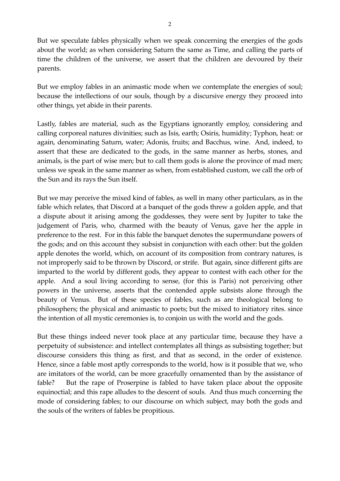But we speculate fables physically when we speak concerning the energies of the gods about the world; as when considering Saturn the same as Time, and calling the parts of time the children of the universe, we assert that the children are devoured by their parents.

But we employ fables in an animastic mode when we contemplate the energies of soul; because the intellections of our souls, though by a discursive energy they proceed into other things, yet abide in their parents.

Lastly, fables are material, such as the Egyptians ignorantly employ, considering and calling corporeal natures divinities; such as Isis, earth; Osiris, humidity; Typhon, heat: or again, denominating Saturn, water; Adonis, fruits; and Bacchus, wine. And, indeed, to assert that these are dedicated to the gods, in the same manner as herbs, stones, and animals, is the part of wise men; but to call them gods is alone the province of mad men; unless we speak in the same manner as when, from established custom, we call the orb of the Sun and its rays the Sun itself.

But we may perceive the mixed kind of fables, as well in many other particulars, as in the fable which relates, that Discord at a banquet of the gods threw a golden apple, and that a dispute about it arising among the goddesses, they were sent by Jupiter to take the judgement of Paris, who, charmed with the beauty of Venus, gave her the apple in preference to the rest. For in this fable the banquet denotes the supermundane powers of the gods; and on this account they subsist in conjunction with each other: but the golden apple denotes the world, which, on account of its composition from contrary natures, is not improperly said to be thrown by Discord, or strife. But again, since different gifts are imparted to the world by different gods, they appear to contest with each other for the apple. And a soul living according to sense, (for this is Paris) not perceiving other powers in the universe, asserts that the contended apple subsists alone through the beauty of Venus. But of these species of fables, such as are theological belong to philosophers; the physical and animastic to poets; but the mixed to initiatory rites. since the intention of all mystic ceremonies is, to conjoin us with the world and the gods.

But these things indeed never took place at any particular time, because they have a perpetuity of subsistence: and intellect contemplates all things as subsisting together; but discourse considers this thing as first, and that as second, in the order of existence. Hence, since a fable most aptly corresponds to the world, how is it possible that we, who are imitators of the world, can be more gracefully ornamented than by the assistance of fable? But the rape of Proserpine is fabled to have taken place about the opposite equinoctial; and this rape alludes to the descent of souls. And thus much concerning the mode of considering fables; to our discourse on which subject, may both the gods and the souls of the writers of fables be propitious.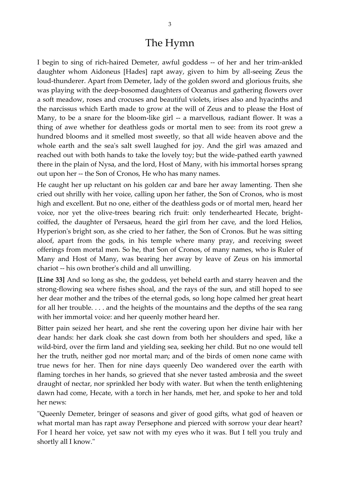## The Hymn

I begin to sing of rich-haired Demeter, awful goddess -- of her and her trim-ankled daughter whom Aidoneus [Hades] rapt away, given to him by all-seeing Zeus the loud-thunderer. Apart from Demeter, lady of the golden sword and glorious fruits, she was playing with the deep-bosomed daughters of Oceanus and gathering flowers over a soft meadow, roses and crocuses and beautiful violets, irises also and hyacinths and the narcissus which Earth made to grow at the will of Zeus and to please the Host of Many, to be a snare for the bloom-like girl -- a marvellous, radiant flower. It was a thing of awe whether for deathless gods or mortal men to see: from its root grew a hundred blooms and it smelled most sweetly, so that all wide heaven above and the whole earth and the sea's salt swell laughed for joy. And the girl was amazed and reached out with both hands to take the lovely toy; but the wide-pathed earth yawned there in the plain of Nysa, and the lord, Host of Many, with his immortal horses sprang out upon her -- the Son of Cronos, He who has many names.

He caught her up reluctant on his golden car and bare her away lamenting. Then she cried out shrilly with her voice, calling upon her father, the Son of Cronos, who is most high and excellent. But no one, either of the deathless gods or of mortal men, heard her voice, nor yet the olive-trees bearing rich fruit: only tenderhearted Hecate, brightcoiffed, the daughter of Persaeus, heard the girl from her cave, and the lord Helios, Hyperion's bright son, as she cried to her father, the Son of Cronos. But he was sitting aloof, apart from the gods, in his temple where many pray, and receiving sweet offerings from mortal men. So he, that Son of Cronos, of many names, who is Ruler of Many and Host of Many, was bearing her away by leave of Zeus on his immortal chariot -- his own brother's child and all unwilling.

**[Line 33]** And so long as she, the goddess, yet beheld earth and starry heaven and the strong-flowing sea where fishes shoal, and the rays of the sun, and still hoped to see her dear mother and the tribes of the eternal gods, so long hope calmed her great heart for all her trouble. . . . and the heights of the mountains and the depths of the sea rang with her immortal voice: and her queenly mother heard her.

Bitter pain seized her heart, and she rent the covering upon her divine hair with her dear hands: her dark cloak she cast down from both her shoulders and sped, like a wild-bird, over the firm land and yielding sea, seeking her child. But no one would tell her the truth, neither god nor mortal man; and of the birds of omen none came with true news for her. Then for nine days queenly Deo wandered over the earth with flaming torches in her hands, so grieved that she never tasted ambrosia and the sweet draught of nectar, nor sprinkled her body with water. But when the tenth enlightening dawn had come, Hecate, with a torch in her hands, met her, and spoke to her and told her news:

"Queenly Demeter, bringer of seasons and giver of good gifts, what god of heaven or what mortal man has rapt away Persephone and pierced with sorrow your dear heart? For I heard her voice, yet saw not with my eyes who it was. But I tell you truly and shortly all I know."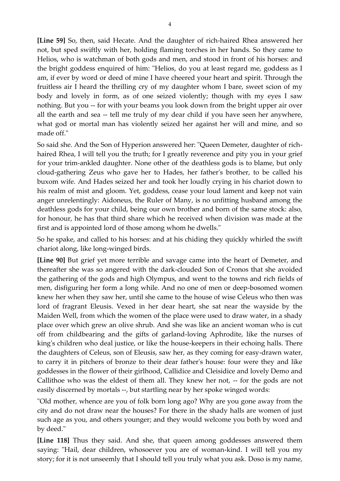**[Line 59]** So, then, said Hecate. And the daughter of rich-haired Rhea answered her not, but sped swiftly with her, holding flaming torches in her hands. So they came to Helios, who is watchman of both gods and men, and stood in front of his horses: and the bright goddess enquired of him: "Helios, do you at least regard me, goddess as I am, if ever by word or deed of mine I have cheered your heart and spirit. Through the fruitless air I heard the thrilling cry of my daughter whom I bare, sweet scion of my body and lovely in form, as of one seized violently; though with my eyes I saw nothing. But you -- for with your beams you look down from the bright upper air over all the earth and sea -- tell me truly of my dear child if you have seen her anywhere, what god or mortal man has violently seized her against her will and mine, and so made off."

So said she. And the Son of Hyperion answered her: "Queen Demeter, daughter of richhaired Rhea, I will tell you the truth; for I greatly reverence and pity you in your grief for your trim-ankled daughter. None other of the deathless gods is to blame, but only cloud-gathering Zeus who gave her to Hades, her father's brother, to be called his buxom wife. And Hades seized her and took her loudly crying in his chariot down to his realm of mist and gloom. Yet, goddess, cease your loud lament and keep not vain anger unrelentingly: Aidoneus, the Ruler of Many, is no unfitting husband among the deathless gods for your child, being our own brother and born of the same stock: also, for honour, he has that third share which he received when division was made at the first and is appointed lord of those among whom he dwells."

So he spake, and called to his horses: and at his chiding they quickly whirled the swift chariot along, like long-winged birds.

**[Line 90]** But grief yet more terrible and savage came into the heart of Demeter, and thereafter she was so angered with the dark-clouded Son of Cronos that she avoided the gathering of the gods and high Olympus, and went to the towns and rich fields of men, disfiguring her form a long while. And no one of men or deep-bosomed women knew her when they saw her, until she came to the house of wise Celeus who then was lord of fragrant Eleusis. Vexed in her dear heart, she sat near the wayside by the Maiden Well, from which the women of the place were used to draw water, in a shady place over which grew an olive shrub. And she was like an ancient woman who is cut off from childbearing and the gifts of garland-loving Aphrodite, like the nurses of king's children who deal justice, or like the house-keepers in their echoing halls. There the daughters of Celeus, son of Eleusis, saw her, as they coming for easy-drawn water, to carry it in pitchers of bronze to their dear father's house: four were they and like goddesses in the flower of their girlhood, Callidice and Cleisidice and lovely Demo and Callithoe who was the eldest of them all. They knew her not, -- for the gods are not easily discerned by mortals --, but startling near by her spoke winged words:

"Old mother, whence are you of folk born long ago? Why are you gone away from the city and do not draw near the houses? For there in the shady halls are women of just such age as you, and others younger; and they would welcome you both by word and by deed."

**[Line 118]** Thus they said. And she, that queen among goddesses answered them saying: "Hail, dear children, whosoever you are of woman-kind. I will tell you my story; for it is not unseemly that I should tell you truly what you ask. Doso is my name,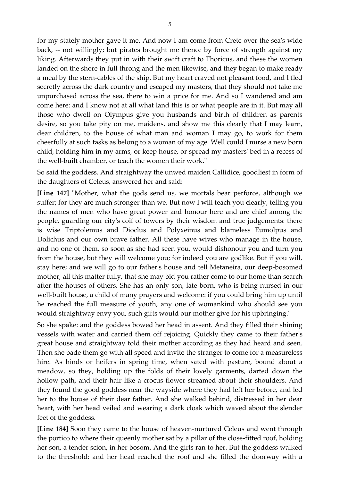for my stately mother gave it me. And now I am come from Crete over the sea's wide back, -- not willingly; but pirates brought me thence by force of strength against my liking. Afterwards they put in with their swift craft to Thoricus, and these the women landed on the shore in full throng and the men likewise, and they began to make ready a meal by the stern-cables of the ship. But my heart craved not pleasant food, and I fled secretly across the dark country and escaped my masters, that they should not take me unpurchased across the sea, there to win a price for me. And so I wandered and am come here: and I know not at all what land this is or what people are in it. But may all those who dwell on Olympus give you husbands and birth of children as parents desire, so you take pity on me, maidens, and show me this clearly that I may learn, dear children, to the house of what man and woman I may go, to work for them cheerfully at such tasks as belong to a woman of my age. Well could I nurse a new born child, holding him in my arms, or keep house, or spread my masters' bed in a recess of the well-built chamber, or teach the women their work."

So said the goddess. And straightway the unwed maiden Callidice, goodliest in form of the daughters of Celeus, answered her and said:

**[Line 147]** "Mother, what the gods send us, we mortals bear perforce, although we suffer; for they are much stronger than we. But now I will teach you clearly, telling you the names of men who have great power and honour here and are chief among the people, guarding our city's coif of towers by their wisdom and true judgements: there is wise Triptolemus and Dioclus and Polyxeinus and blameless Eumolpus and Dolichus and our own brave father. All these have wives who manage in the house, and no one of them, so soon as she had seen you, would dishonour you and turn you from the house, but they will welcome you; for indeed you are godlike. But if you will, stay here; and we will go to our father's house and tell Metaneira, our deep-bosomed mother, all this matter fully, that she may bid you rather come to our home than search after the houses of others. She has an only son, late-born, who is being nursed in our well-built house, a child of many prayers and welcome: if you could bring him up until he reached the full measure of youth, any one of womankind who should see you would straightway envy you, such gifts would our mother give for his upbringing."

So she spake: and the goddess bowed her head in assent. And they filled their shining vessels with water and carried them off rejoicing. Quickly they came to their father's great house and straightway told their mother according as they had heard and seen. Then she bade them go with all speed and invite the stranger to come for a measureless hire. As hinds or heifers in spring time, when sated with pasture, bound about a meadow, so they, holding up the folds of their lovely garments, darted down the hollow path, and their hair like a crocus flower streamed about their shoulders. And they found the good goddess near the wayside where they had left her before, and led her to the house of their dear father. And she walked behind, distressed in her dear heart, with her head veiled and wearing a dark cloak which waved about the slender feet of the goddess.

**[Line 184]** Soon they came to the house of heaven-nurtured Celeus and went through the portico to where their queenly mother sat by a pillar of the close-fitted roof, holding her son, a tender scion, in her bosom. And the girls ran to her. But the goddess walked to the threshold: and her head reached the roof and she filled the doorway with a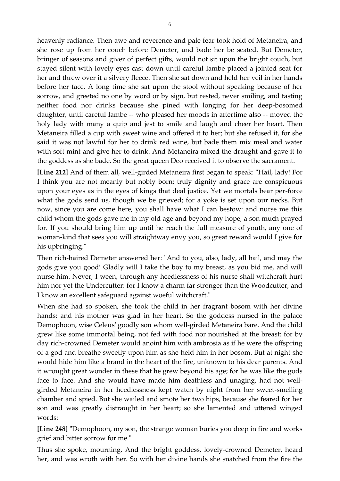heavenly radiance. Then awe and reverence and pale fear took hold of Metaneira, and she rose up from her couch before Demeter, and bade her be seated. But Demeter, bringer of seasons and giver of perfect gifts, would not sit upon the bright couch, but stayed silent with lovely eyes cast down until careful Iambe placed a jointed seat for her and threw over it a silvery fleece. Then she sat down and held her veil in her hands before her face. A long time she sat upon the stool without speaking because of her sorrow, and greeted no one by word or by sign, but rested, never smiling, and tasting neither food nor drinks because she pined with longing for her deep-bosomed daughter, until careful Iambe -- who pleased her moods in aftertime also -- moved the holy lady with many a quip and jest to smile and laugh and cheer her heart. Then Metaneira filled a cup with sweet wine and offered it to her; but she refused it, for she said it was not lawful for her to drink red wine, but bade them mix meal and water with soft mint and give her to drink. And Metaneira mixed the draught and gave it to the goddess as she bade. So the great queen Deo received it to observe the sacrament.

**[Line 212]** And of them all, well-girded Metaneira first began to speak: "Hail, lady! For I think you are not meanly but nobly born; truly dignity and grace are conspicuous upon your eyes as in the eyes of kings that deal justice. Yet we mortals bear per-force what the gods send us, though we be grieved; for a yoke is set upon our necks. But now, since you are come here, you shall have what I can bestow: and nurse me this child whom the gods gave me in my old age and beyond my hope, a son much prayed for. If you should bring him up until he reach the full measure of youth, any one of woman-kind that sees you will straightway envy you, so great reward would I give for his upbringing."

Then rich-haired Demeter answered her: "And to you, also, lady, all hail, and may the gods give you good! Gladly will I take the boy to my breast, as you bid me, and will nurse him. Never, I ween, through any heedlessness of his nurse shall witchcraft hurt him nor yet the Undercutter: for I know a charm far stronger than the Woodcutter, and I know an excellent safeguard against woeful witchcraft."

When she had so spoken, she took the child in her fragrant bosom with her divine hands: and his mother was glad in her heart. So the goddess nursed in the palace Demophoon, wise Celeus' goodly son whom well-girded Metaneira bare. And the child grew like some immortal being, not fed with food nor nourished at the breast: for by day rich-crowned Demeter would anoint him with ambrosia as if he were the offspring of a god and breathe sweetly upon him as she held him in her bosom. But at night she would hide him like a brand in the heart of the fire, unknown to his dear parents. And it wrought great wonder in these that he grew beyond his age; for he was like the gods face to face. And she would have made him deathless and unaging, had not wellgirded Metaneira in her heedlessness kept watch by night from her sweet-smelling chamber and spied. But she wailed and smote her two hips, because she feared for her son and was greatly distraught in her heart; so she lamented and uttered winged words:

**[Line 248]** "Demophoon, my son, the strange woman buries you deep in fire and works grief and bitter sorrow for me."

Thus she spoke, mourning. And the bright goddess, lovely-crowned Demeter, heard her, and was wroth with her. So with her divine hands she snatched from the fire the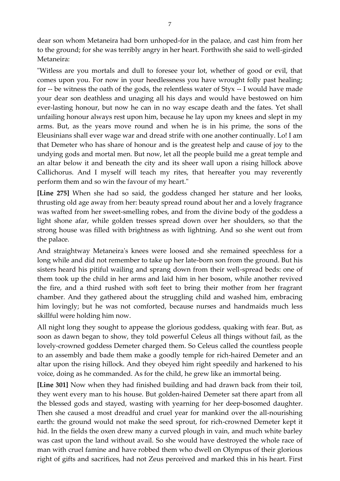dear son whom Metaneira had born unhoped-for in the palace, and cast him from her to the ground; for she was terribly angry in her heart. Forthwith she said to well-girded Metaneira:

"Witless are you mortals and dull to foresee your lot, whether of good or evil, that comes upon you. For now in your heedlessness you have wrought folly past healing; for -- be witness the oath of the gods, the relentless water of Styx -- I would have made your dear son deathless and unaging all his days and would have bestowed on him ever-lasting honour, but now he can in no way escape death and the fates. Yet shall unfailing honour always rest upon him, because he lay upon my knees and slept in my arms. But, as the years move round and when he is in his prime, the sons of the Eleusinians shall ever wage war and dread strife with one another continually. Lo! I am that Demeter who has share of honour and is the greatest help and cause of joy to the undying gods and mortal men. But now, let all the people build me a great temple and an altar below it and beneath the city and its sheer wall upon a rising hillock above Callichorus. And I myself will teach my rites, that hereafter you may reverently perform them and so win the favour of my heart."

**[Line 275]** When she had so said, the goddess changed her stature and her looks, thrusting old age away from her: beauty spread round about her and a lovely fragrance was wafted from her sweet-smelling robes, and from the divine body of the goddess a light shone afar, while golden tresses spread down over her shoulders, so that the strong house was filled with brightness as with lightning. And so she went out from the palace.

And straightway Metaneira's knees were loosed and she remained speechless for a long while and did not remember to take up her late-born son from the ground. But his sisters heard his pitiful wailing and sprang down from their well-spread beds: one of them took up the child in her arms and laid him in her bosom, while another revived the fire, and a third rushed with soft feet to bring their mother from her fragrant chamber. And they gathered about the struggling child and washed him, embracing him lovingly; but he was not comforted, because nurses and handmaids much less skillful were holding him now.

All night long they sought to appease the glorious goddess, quaking with fear. But, as soon as dawn began to show, they told powerful Celeus all things without fail, as the lovely-crowned goddess Demeter charged them. So Celeus called the countless people to an assembly and bade them make a goodly temple for rich-haired Demeter and an altar upon the rising hillock. And they obeyed him right speedily and harkened to his voice, doing as he commanded. As for the child, he grew like an immortal being.

**[Line 301]** Now when they had finished building and had drawn back from their toil, they went every man to his house. But golden-haired Demeter sat there apart from all the blessed gods and stayed, wasting with yearning for her deep-bosomed daughter. Then she caused a most dreadful and cruel year for mankind over the all-nourishing earth: the ground would not make the seed sprout, for rich-crowned Demeter kept it hid. In the fields the oxen drew many a curved plough in vain, and much white barley was cast upon the land without avail. So she would have destroyed the whole race of man with cruel famine and have robbed them who dwell on Olympus of their glorious right of gifts and sacrifices, had not Zeus perceived and marked this in his heart. First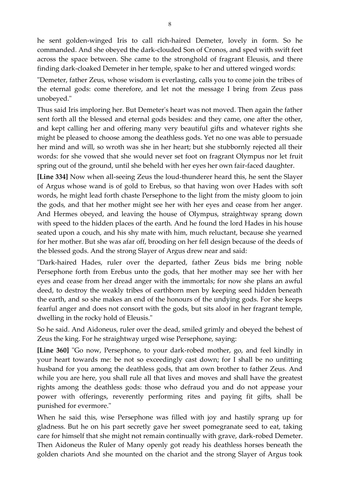he sent golden-winged Iris to call rich-haired Demeter, lovely in form. So he commanded. And she obeyed the dark-clouded Son of Cronos, and sped with swift feet across the space between. She came to the stronghold of fragrant Eleusis, and there finding dark-cloaked Demeter in her temple, spake to her and uttered winged words:

"Demeter, father Zeus, whose wisdom is everlasting, calls you to come join the tribes of the eternal gods: come therefore, and let not the message I bring from Zeus pass unobeyed."

Thus said Iris imploring her. But Demeter's heart was not moved. Then again the father sent forth all the blessed and eternal gods besides: and they came, one after the other, and kept calling her and offering many very beautiful gifts and whatever rights she might be pleased to choose among the deathless gods. Yet no one was able to persuade her mind and will, so wroth was she in her heart; but she stubbornly rejected all their words: for she vowed that she would never set foot on fragrant Olympus nor let fruit spring out of the ground, until she beheld with her eyes her own fair-faced daughter.

**[Line 334]** Now when all-seeing Zeus the loud-thunderer heard this, he sent the Slayer of Argus whose wand is of gold to Erebus, so that having won over Hades with soft words, he might lead forth chaste Persephone to the light from the misty gloom to join the gods, and that her mother might see her with her eyes and cease from her anger. And Hermes obeyed, and leaving the house of Olympus, straightway sprang down with speed to the hidden places of the earth. And he found the lord Hades in his house seated upon a couch, and his shy mate with him, much reluctant, because she yearned for her mother. But she was afar off, brooding on her fell design because of the deeds of the blessed gods. And the strong Slayer of Argus drew near and said:

"Dark-haired Hades, ruler over the departed, father Zeus bids me bring noble Persephone forth from Erebus unto the gods, that her mother may see her with her eyes and cease from her dread anger with the immortals; for now she plans an awful deed, to destroy the weakly tribes of earthborn men by keeping seed hidden beneath the earth, and so she makes an end of the honours of the undying gods. For she keeps fearful anger and does not consort with the gods, but sits aloof in her fragrant temple, dwelling in the rocky hold of Eleusis."

So he said. And Aidoneus, ruler over the dead, smiled grimly and obeyed the behest of Zeus the king. For he straightway urged wise Persephone, saying:

**[Line 360]** "Go now, Persephone, to your dark-robed mother, go, and feel kindly in your heart towards me: be not so exceedingly cast down; for I shall be no unfitting husband for you among the deathless gods, that am own brother to father Zeus. And while you are here, you shall rule all that lives and moves and shall have the greatest rights among the deathless gods: those who defraud you and do not appease your power with offerings, reverently performing rites and paying fit gifts, shall be punished for evermore."

When he said this, wise Persephone was filled with joy and hastily sprang up for gladness. But he on his part secretly gave her sweet pomegranate seed to eat, taking care for himself that she might not remain continually with grave, dark-robed Demeter. Then Aidoneus the Ruler of Many openly got ready his deathless horses beneath the golden chariots And she mounted on the chariot and the strong Slayer of Argus took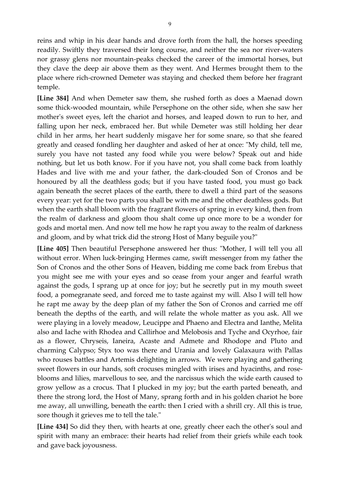reins and whip in his dear hands and drove forth from the hall, the horses speeding readily. Swiftly they traversed their long course, and neither the sea nor river-waters nor grassy glens nor mountain-peaks checked the career of the immortal horses, but they clave the deep air above them as they went. And Hermes brought them to the place where rich-crowned Demeter was staying and checked them before her fragrant temple.

**[Line 384]** And when Demeter saw them, she rushed forth as does a Maenad down some thick-wooded mountain, while Persephone on the other side, when she saw her mother's sweet eyes, left the chariot and horses, and leaped down to run to her, and falling upon her neck, embraced her. But while Demeter was still holding her dear child in her arms, her heart suddenly misgave her for some snare, so that she feared greatly and ceased fondling her daughter and asked of her at once: "My child, tell me, surely you have not tasted any food while you were below? Speak out and hide nothing, but let us both know. For if you have not, you shall come back from loathly Hades and live with me and your father, the dark-clouded Son of Cronos and be honoured by all the deathless gods; but if you have tasted food, you must go back again beneath the secret places of the earth, there to dwell a third part of the seasons every year: yet for the two parts you shall be with me and the other deathless gods. But when the earth shall bloom with the fragrant flowers of spring in every kind, then from the realm of darkness and gloom thou shalt come up once more to be a wonder for gods and mortal men. And now tell me how he rapt you away to the realm of darkness and gloom, and by what trick did the strong Host of Many beguile you?"

**[Line 405]** Then beautiful Persephone answered her thus: "Mother, I will tell you all without error. When luck-bringing Hermes came, swift messenger from my father the Son of Cronos and the other Sons of Heaven, bidding me come back from Erebus that you might see me with your eyes and so cease from your anger and fearful wrath against the gods, I sprang up at once for joy; but he secretly put in my mouth sweet food, a pomegranate seed, and forced me to taste against my will. Also I will tell how he rapt me away by the deep plan of my father the Son of Cronos and carried me off beneath the depths of the earth, and will relate the whole matter as you ask. All we were playing in a lovely meadow, Leucippe and Phaeno and Electra and Ianthe, Melita also and Iache with Rhodea and Callirhoe and Melobosis and Tyche and Ocyrhoe, fair as a flower, Chryseis, Ianeira, Acaste and Admete and Rhodope and Pluto and charming Calypso; Styx too was there and Urania and lovely Galaxaura with Pallas who rouses battles and Artemis delighting in arrows. We were playing and gathering sweet flowers in our hands, soft crocuses mingled with irises and hyacinths, and roseblooms and lilies, marvellous to see, and the narcissus which the wide earth caused to grow yellow as a crocus. That I plucked in my joy; but the earth parted beneath, and there the strong lord, the Host of Many, sprang forth and in his golden chariot he bore me away, all unwilling, beneath the earth: then I cried with a shrill cry. All this is true, sore though it grieves me to tell the tale."

**[Line 434]** So did they then, with hearts at one, greatly cheer each the other's soul and spirit with many an embrace: their hearts had relief from their griefs while each took and gave back joyousness.